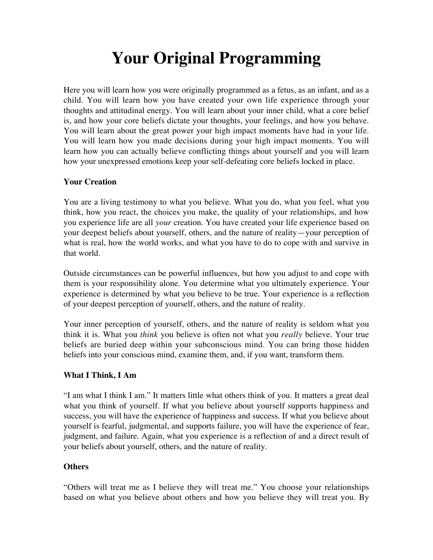# **Your Original Programming**

Here you will learn how you were originally programmed as a fetus, as an infant, and as a child. You will learn how you have created your own life experience through your thoughts and attitudinal energy. You will learn about your inner child, what a core belief is, and how your core beliefs dictate your thoughts, your feelings, and how you behave. You will learn about the great power your high impact moments have had in your life. You will learn how you made decisions during your high impact moments. You will learn how you can actually believe conflicting things about yourself and you will learn how your unexpressed emotions keep your self-defeating core beliefs locked in place.

## **Your Creation**

You are a living testimony to what you believe. What you do, what you feel, what you think, how you react, the choices you make, the quality of your relationships, and how you experience life are all *your* creation. You have created your life experience based on your deepest beliefs about yourself, others, and the nature of reality—your perception of what is real, how the world works, and what you have to do to cope with and survive in that world.

Outside circumstances can be powerful influences, but how you adjust to and cope with them is your responsibility alone. You determine what you ultimately experience. Your experience is determined by what you believe to be true. Your experience is a reflection of your deepest perception of yourself, others, and the nature of reality.

Your inner perception of yourself, others, and the nature of reality is seldom what you think it is. What you *think* you believe is often not what you *really* believe. Your true beliefs are buried deep within your subconscious mind. You can bring those hidden beliefs into your conscious mind, examine them, and, if you want, transform them.

#### **What I Think, I Am**

"I am what I think I am." It matters little what others think of you. It matters a great deal what you think of yourself. If what you believe about yourself supports happiness and success, you will have the experience of happiness and success. If what you believe about yourself is fearful, judgmental, and supports failure, you will have the experience of fear, judgment, and failure. Again, what you experience is a reflection of and a direct result of your beliefs about yourself, others, and the nature of reality.

## **Others**

"Others will treat me as I believe they will treat me." You choose your relationships based on what you believe about others and how you believe they will treat you. By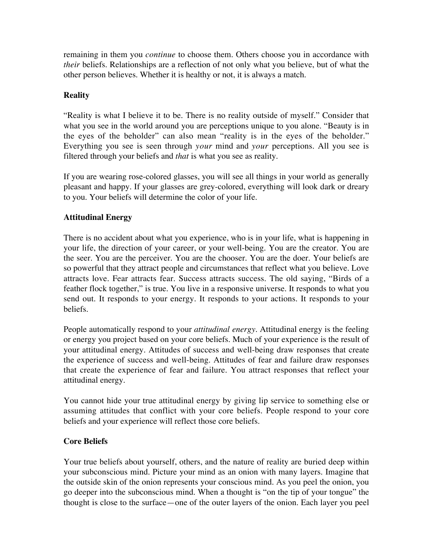remaining in them you *continue* to choose them. Others choose you in accordance with *their* beliefs. Relationships are a reflection of not only what you believe, but of what the other person believes. Whether it is healthy or not, it is always a match.

## **Reality**

"Reality is what I believe it to be. There is no reality outside of myself." Consider that what you see in the world around you are perceptions unique to you alone. "Beauty is in the eyes of the beholder" can also mean "reality is in the eyes of the beholder." Everything you see is seen through *your* mind and *your* perceptions. All you see is filtered through your beliefs and *that* is what you see as reality.

If you are wearing rose-colored glasses, you will see all things in your world as generally pleasant and happy. If your glasses are grey-colored, everything will look dark or dreary to you. Your beliefs will determine the color of your life.

# **Attitudinal Energy**

There is no accident about what you experience, who is in your life, what is happening in your life, the direction of your career, or your well-being. You are the creator. You are the seer. You are the perceiver. You are the chooser. You are the doer. Your beliefs are so powerful that they attract people and circumstances that reflect what you believe. Love attracts love. Fear attracts fear. Success attracts success. The old saying, "Birds of a feather flock together," is true. You live in a responsive universe. It responds to what you send out. It responds to your energy. It responds to your actions. It responds to your beliefs.

People automatically respond to your *attitudinal energy*. Attitudinal energy is the feeling or energy you project based on your core beliefs. Much of your experience is the result of your attitudinal energy. Attitudes of success and well-being draw responses that create the experience of success and well-being. Attitudes of fear and failure draw responses that create the experience of fear and failure. You attract responses that reflect your attitudinal energy.

You cannot hide your true attitudinal energy by giving lip service to something else or assuming attitudes that conflict with your core beliefs. People respond to your core beliefs and your experience will reflect those core beliefs.

## **Core Beliefs**

Your true beliefs about yourself, others, and the nature of reality are buried deep within your subconscious mind. Picture your mind as an onion with many layers. Imagine that the outside skin of the onion represents your conscious mind. As you peel the onion, you go deeper into the subconscious mind. When a thought is "on the tip of your tongue" the thought is close to the surface—one of the outer layers of the onion. Each layer you peel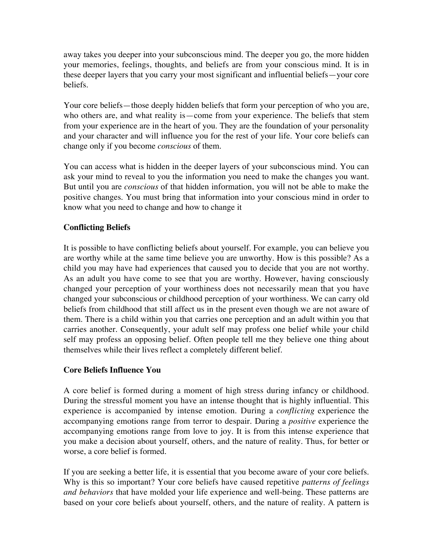away takes you deeper into your subconscious mind. The deeper you go, the more hidden your memories, feelings, thoughts, and beliefs are from your conscious mind. It is in these deeper layers that you carry your most significant and influential beliefs—your core beliefs.

Your core beliefs—those deeply hidden beliefs that form your perception of who you are, who others are, and what reality is—come from your experience. The beliefs that stem from your experience are in the heart of you. They are the foundation of your personality and your character and will influence you for the rest of your life. Your core beliefs can change only if you become *conscious* of them.

You can access what is hidden in the deeper layers of your subconscious mind. You can ask your mind to reveal to you the information you need to make the changes you want. But until you are *conscious* of that hidden information, you will not be able to make the positive changes. You must bring that information into your conscious mind in order to know what you need to change and how to change it

# **Conflicting Beliefs**

It is possible to have conflicting beliefs about yourself. For example, you can believe you are worthy while at the same time believe you are unworthy. How is this possible? As a child you may have had experiences that caused you to decide that you are not worthy. As an adult you have come to see that you are worthy. However, having consciously changed your perception of your worthiness does not necessarily mean that you have changed your subconscious or childhood perception of your worthiness. We can carry old beliefs from childhood that still affect us in the present even though we are not aware of them. There is a child within you that carries one perception and an adult within you that carries another. Consequently, your adult self may profess one belief while your child self may profess an opposing belief. Often people tell me they believe one thing about themselves while their lives reflect a completely different belief.

## **Core Beliefs Influence You**

A core belief is formed during a moment of high stress during infancy or childhood. During the stressful moment you have an intense thought that is highly influential. This experience is accompanied by intense emotion. During a *conflicting* experience the accompanying emotions range from terror to despair. During a *positive* experience the accompanying emotions range from love to joy. It is from this intense experience that you make a decision about yourself, others, and the nature of reality. Thus, for better or worse, a core belief is formed.

If you are seeking a better life, it is essential that you become aware of your core beliefs. Why is this so important? Your core beliefs have caused repetitive *patterns of feelings and behaviors* that have molded your life experience and well-being. These patterns are based on your core beliefs about yourself, others, and the nature of reality. A pattern is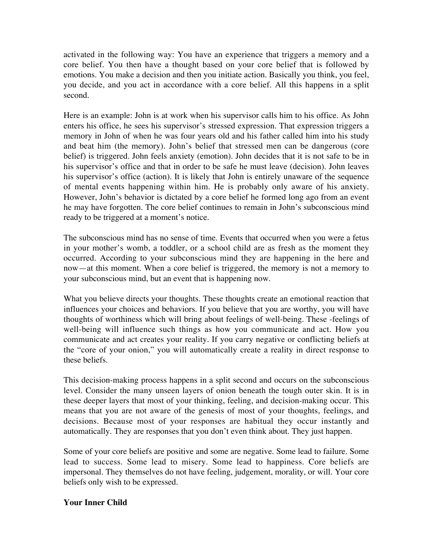activated in the following way: You have an experience that triggers a memory and a core belief. You then have a thought based on your core belief that is followed by emotions. You make a decision and then you initiate action. Basically you think, you feel, you decide, and you act in accordance with a core belief. All this happens in a split second.

Here is an example: John is at work when his supervisor calls him to his office. As John enters his office, he sees his supervisor's stressed expression. That expression triggers a memory in John of when he was four years old and his father called him into his study and beat him (the memory). John's belief that stressed men can be dangerous (core belief) is triggered. John feels anxiety (emotion). John decides that it is not safe to be in his supervisor's office and that in order to be safe he must leave (decision). John leaves his supervisor's office (action). It is likely that John is entirely unaware of the sequence of mental events happening within him. He is probably only aware of his anxiety. However, John's behavior is dictated by a core belief he formed long ago from an event he may have forgotten. The core belief continues to remain in John's subconscious mind ready to be triggered at a moment's notice.

The subconscious mind has no sense of time. Events that occurred when you were a fetus in your mother's womb, a toddler, or a school child are as fresh as the moment they occurred. According to your subconscious mind they are happening in the here and now—at this moment. When a core belief is triggered, the memory is not a memory to your subconscious mind, but an event that is happening now.

What you believe directs your thoughts. These thoughts create an emotional reaction that influences your choices and behaviors. If you believe that you are worthy, you will have thoughts of worthiness which will bring about feelings of well-being. These -feelings of well-being will influence such things as how you communicate and act. How you communicate and act creates your reality. If you carry negative or conflicting beliefs at the "core of your onion," you will automatically create a reality in direct response to these beliefs.

This decision-making process happens in a split second and occurs on the subconscious level. Consider the many unseen layers of onion beneath the tough outer skin. It is in these deeper layers that most of your thinking, feeling, and decision-making occur. This means that you are not aware of the genesis of most of your thoughts, feelings, and decisions. Because most of your responses are habitual they occur instantly and automatically. They are responses that you don't even think about. They just happen.

Some of your core beliefs are positive and some are negative. Some lead to failure. Some lead to success. Some lead to misery. Some lead to happiness. Core beliefs are impersonal. They themselves do not have feeling, judgement, morality, or will. Your core beliefs only wish to be expressed.

## **Your Inner Child**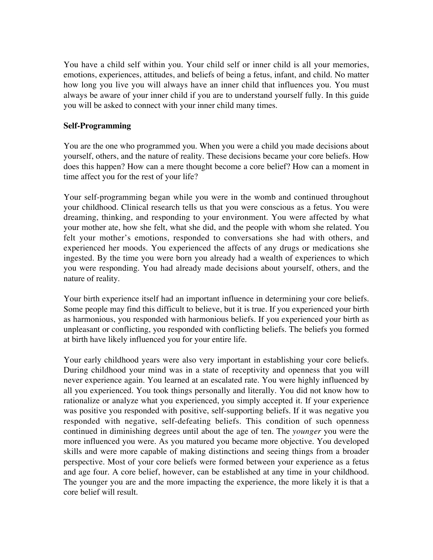You have a child self within you. Your child self or inner child is all your memories, emotions, experiences, attitudes, and beliefs of being a fetus, infant, and child. No matter how long you live you will always have an inner child that influences you. You must always be aware of your inner child if you are to understand yourself fully. In this guide you will be asked to connect with your inner child many times.

#### **Self-Programming**

You are the one who programmed you. When you were a child you made decisions about yourself, others, and the nature of reality. These decisions became your core beliefs. How does this happen? How can a mere thought become a core belief? How can a moment in time affect you for the rest of your life?

Your self-programming began while you were in the womb and continued throughout your childhood. Clinical research tells us that you were conscious as a fetus. You were dreaming, thinking, and responding to your environment. You were affected by what your mother ate, how she felt, what she did, and the people with whom she related. You felt your mother's emotions, responded to conversations she had with others, and experienced her moods. You experienced the affects of any drugs or medications she ingested. By the time you were born you already had a wealth of experiences to which you were responding. You had already made decisions about yourself, others, and the nature of reality.

Your birth experience itself had an important influence in determining your core beliefs. Some people may find this difficult to believe, but it is true. If you experienced your birth as harmonious, you responded with harmonious beliefs. If you experienced your birth as unpleasant or conflicting, you responded with conflicting beliefs. The beliefs you formed at birth have likely influenced you for your entire life.

Your early childhood years were also very important in establishing your core beliefs. During childhood your mind was in a state of receptivity and openness that you will never experience again. You learned at an escalated rate. You were highly influenced by all you experienced. You took things personally and literally. You did not know how to rationalize or analyze what you experienced, you simply accepted it. If your experience was positive you responded with positive, self-supporting beliefs. If it was negative you responded with negative, self-defeating beliefs. This condition of such openness continued in diminishing degrees until about the age of ten. The *younger* you were the more influenced you were. As you matured you became more objective. You developed skills and were more capable of making distinctions and seeing things from a broader perspective. Most of your core beliefs were formed between your experience as a fetus and age four. A core belief, however, can be established at any time in your childhood. The younger you are and the more impacting the experience, the more likely it is that a core belief will result.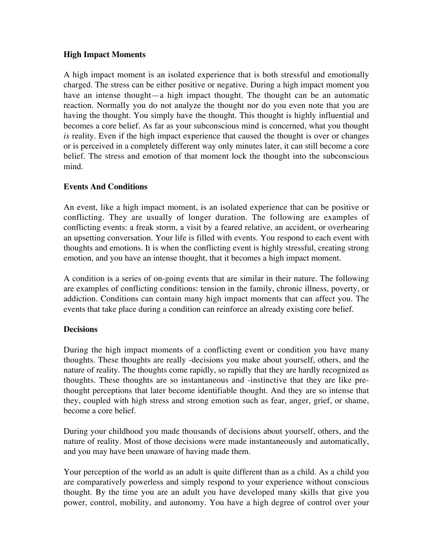### **High Impact Moments**

A high impact moment is an isolated experience that is both stressful and emotionally charged. The stress can be either positive or negative. During a high impact moment you have an intense thought—a high impact thought. The thought can be an automatic reaction. Normally you do not analyze the thought nor do you even note that you are having the thought. You simply have the thought. This thought is highly influential and becomes a core belief. As far as your subconscious mind is concerned, what you thought *is* reality. Even if the high impact experience that caused the thought is over or changes or is perceived in a completely different way only minutes later, it can still become a core belief. The stress and emotion of that moment lock the thought into the subconscious mind.

## **Events And Conditions**

An event, like a high impact moment, is an isolated experience that can be positive or conflicting. They are usually of longer duration. The following are examples of conflicting events: a freak storm, a visit by a feared relative, an accident, or overhearing an upsetting conversation. Your life is filled with events. You respond to each event with thoughts and emotions. It is when the conflicting event is highly stressful, creating strong emotion, and you have an intense thought, that it becomes a high impact moment.

A condition is a series of on-going events that are similar in their nature. The following are examples of conflicting conditions: tension in the family, chronic illness, poverty, or addiction. Conditions can contain many high impact moments that can affect you. The events that take place during a condition can reinforce an already existing core belief.

#### **Decisions**

During the high impact moments of a conflicting event or condition you have many thoughts. These thoughts are really -decisions you make about yourself, others, and the nature of reality. The thoughts come rapidly, so rapidly that they are hardly recognized as thoughts. These thoughts are so instantaneous and -instinctive that they are like prethought perceptions that later become identifiable thought. And they are so intense that they, coupled with high stress and strong emotion such as fear, anger, grief, or shame, become a core belief.

During your childhood you made thousands of decisions about yourself, others, and the nature of reality. Most of those decisions were made instantaneously and automatically, and you may have been unaware of having made them.

Your perception of the world as an adult is quite different than as a child. As a child you are comparatively powerless and simply respond to your experience without conscious thought. By the time you are an adult you have developed many skills that give you power, control, mobility, and autonomy. You have a high degree of control over your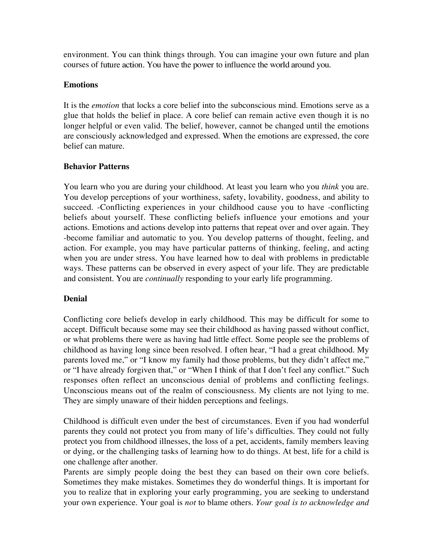environment. You can think things through. You can imagine your own future and plan courses of future action. You have the power to influence the world around you.

#### **Emotions**

It is the *emotion* that locks a core belief into the subconscious mind. Emotions serve as a glue that holds the belief in place. A core belief can remain active even though it is no longer helpful or even valid. The belief, however, cannot be changed until the emotions are consciously acknowledged and expressed. When the emotions are expressed, the core belief can mature.

#### **Behavior Patterns**

You learn who you are during your childhood. At least you learn who you *think* you are. You develop perceptions of your worthiness, safety, lovability, goodness, and ability to succeed. -Conflicting experiences in your childhood cause you to have -conflicting beliefs about yourself. These conflicting beliefs influence your emotions and your actions. Emotions and actions develop into patterns that repeat over and over again. They -become familiar and automatic to you. You develop patterns of thought, feeling, and action. For example, you may have particular patterns of thinking, feeling, and acting when you are under stress. You have learned how to deal with problems in predictable ways. These patterns can be observed in every aspect of your life. They are predictable and consistent. You are *continually* responding to your early life programming.

## **Denial**

Conflicting core beliefs develop in early childhood. This may be difficult for some to accept. Difficult because some may see their childhood as having passed without conflict, or what problems there were as having had little effect. Some people see the problems of childhood as having long since been resolved. I often hear, "I had a great childhood. My parents loved me," or "I know my family had those problems, but they didn't affect me," or "I have already forgiven that," or "When I think of that I don't feel any conflict." Such responses often reflect an unconscious denial of problems and conflicting feelings. Unconscious means out of the realm of consciousness. My clients are not lying to me. They are simply unaware of their hidden perceptions and feelings.

Childhood is difficult even under the best of circumstances. Even if you had wonderful parents they could not protect you from many of life's difficulties. They could not fully protect you from childhood illnesses, the loss of a pet, accidents, family members leaving or dying, or the challenging tasks of learning how to do things. At best, life for a child is one challenge after another.

Parents are simply people doing the best they can based on their own core beliefs. Sometimes they make mistakes. Sometimes they do wonderful things. It is important for you to realize that in exploring your early programming, you are seeking to understand your own experience. Your goal is *not* to blame others. *Your goal is to acknowledge and*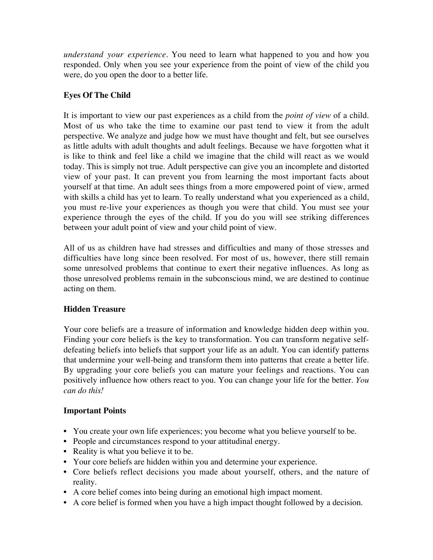*understand your experience*. You need to learn what happened to you and how you responded. Only when you see your experience from the point of view of the child you were, do you open the door to a better life.

# **Eyes Of The Child**

It is important to view our past experiences as a child from the *point of view* of a child. Most of us who take the time to examine our past tend to view it from the adult perspective. We analyze and judge how we must have thought and felt, but see ourselves as little adults with adult thoughts and adult feelings. Because we have forgotten what it is like to think and feel like a child we imagine that the child will react as we would today. This is simply not true. Adult perspective can give you an incomplete and distorted view of your past. It can prevent you from learning the most important facts about yourself at that time. An adult sees things from a more empowered point of view, armed with skills a child has yet to learn. To really understand what you experienced as a child, you must re-live your experiences as though you were that child. You must see your experience through the eyes of the child. If you do you will see striking differences between your adult point of view and your child point of view.

All of us as children have had stresses and difficulties and many of those stresses and difficulties have long since been resolved. For most of us, however, there still remain some unresolved problems that continue to exert their negative influences. As long as those unresolved problems remain in the subconscious mind, we are destined to continue acting on them.

## **Hidden Treasure**

Your core beliefs are a treasure of information and knowledge hidden deep within you. Finding your core beliefs is the key to transformation. You can transform negative selfdefeating beliefs into beliefs that support your life as an adult. You can identify patterns that undermine your well-being and transform them into patterns that create a better life. By upgrading your core beliefs you can mature your feelings and reactions. You can positively influence how others react to you. You can change your life for the better. *You can do this!*

## **Important Points**

- You create your own life experiences; you become what you believe yourself to be.
- People and circumstances respond to your attitudinal energy.
- Reality is what you believe it to be.
- Your core beliefs are hidden within you and determine your experience.
- Core beliefs reflect decisions you made about yourself, others, and the nature of reality.
- A core belief comes into being during an emotional high impact moment.
- A core belief is formed when you have a high impact thought followed by a decision.